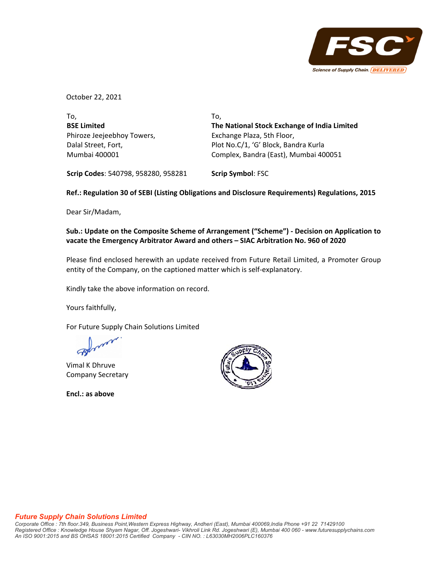

October 22, 2021

| To.                                          |
|----------------------------------------------|
| The National Stock Exchange of India Limited |
| Exchange Plaza, 5th Floor,                   |
| Plot No.C/1, 'G' Block, Bandra Kurla         |
| Complex, Bandra (East), Mumbai 400051        |
|                                              |

**Scrip Codes**: 540798, 958280, 958281 **Scrip Symbol**: FSC

# **Ref.: Regulation 30 of SEBI (Listing Obligations and Disclosure Requirements) Regulations, 2015**

Dear Sir/Madam,

# **Sub.: Update on the Composite Scheme of Arrangement ("Scheme") ‐ Decision on Application to vacate the Emergency Arbitrator Award and others – SIAC Arbitration No. 960 of 2020**

Please find enclosed herewith an update received from Future Retail Limited, a Promoter Group entity of the Company, on the captioned matter which is self‐explanatory.

Kindly take the above information on record.

Yours faithfully,

For Future Supply Chain Solutions Limited

Vimal K Dhruve Company Secretary

**Encl.: as above**



#### *Future Supply Chain Solutions Limited*